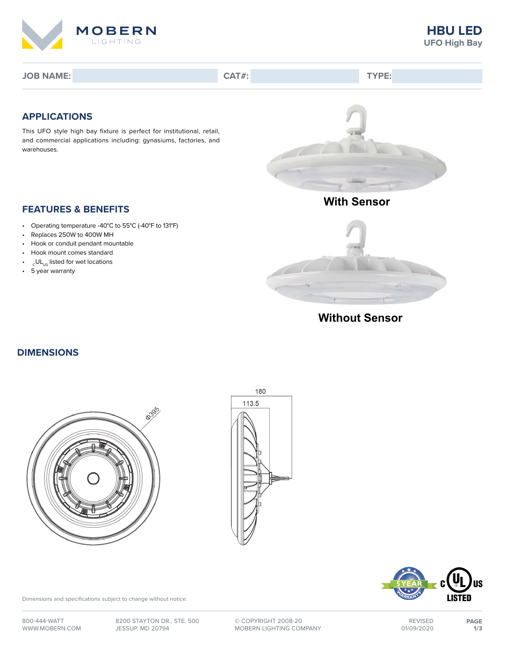

**JOB NAME: CAT#: TYPE:**

## **APPLICATIONS**

This UFO style high bay fixture is perfect for institutional, retail, and commercial applications including: gynasiums, factories, and warehouses.



- Operating temperature -40°C to 55°C (-40°F to 131°F)
- Replaces 250W to 400W MH
- Hook or conduit pendant mountable
- Hook mount comes standard
- $_{\rm c}$ UL $_{\rm us}$  listed for wet locations
- 5 year warranty



**Without Sensor**

#### **DIMENSIONS**







Dimensions and specifications subject to change without notice.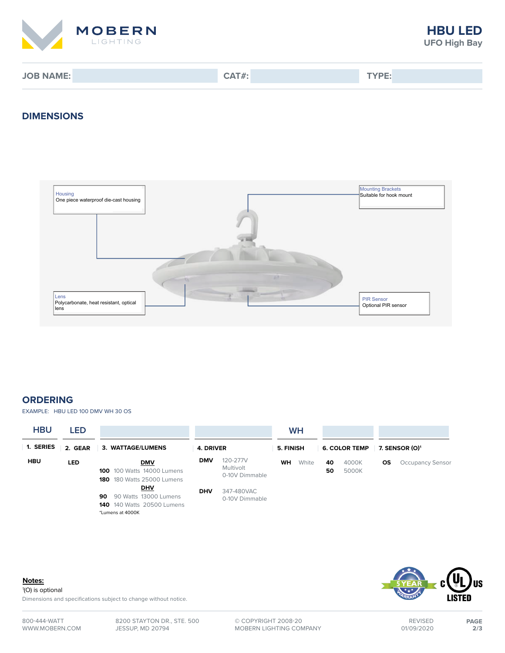

**JOB NAME: CAT#: TYPE:**

### **DIMENSIONS**



## **ORDERING**

EXAMPLE: HBU LED 100 DMV WH 30 OS

| <b>HBU</b> | <b>LED</b> |                                                                                                    |            |                                         |           | <b>WH</b> |                      |                |                            |                         |
|------------|------------|----------------------------------------------------------------------------------------------------|------------|-----------------------------------------|-----------|-----------|----------------------|----------------|----------------------------|-------------------------|
| 1. SERIES  | 2. GEAR    | 3. WATTAGE/LUMENS                                                                                  | 4. DRIVER  |                                         | 5. FINISH |           | <b>6. COLOR TEMP</b> |                | 7. SENSOR (O) <sup>1</sup> |                         |
| <b>HBU</b> | LED        | <b>DMV</b><br><b>100</b> 100 Watts 14000 Lumens<br><b>180</b> 180 Watts 25000 Lumens               | <b>DMV</b> | 120-277V<br>Multivolt<br>0-10V Dimmable | <b>WH</b> | White     | 40<br>50             | 4000K<br>5000K | <b>OS</b>                  | <b>Occupancy Sensor</b> |
|            |            | <b>DHV</b><br>90 Watts 13000 Lumens<br>90<br><b>140</b> 140 Watts 20500 Lumens<br>*Lumens at 4000K | <b>DHV</b> | 347-480VAC<br>0-10V Dimmable            |           |           |                      |                |                            |                         |



1 (O) is optional

Dimensions and specifications subject to change without notice.



800-444-WATT WWW.MOBERN.COM

8200 STAYTON DR., STE. 500 JESSUP, MD 20794

**©** COPYRIGHT 2008-20 MOBERN LIGHTING COMPANY

01/09/2020 **2/3**

REVISED **PAGE**